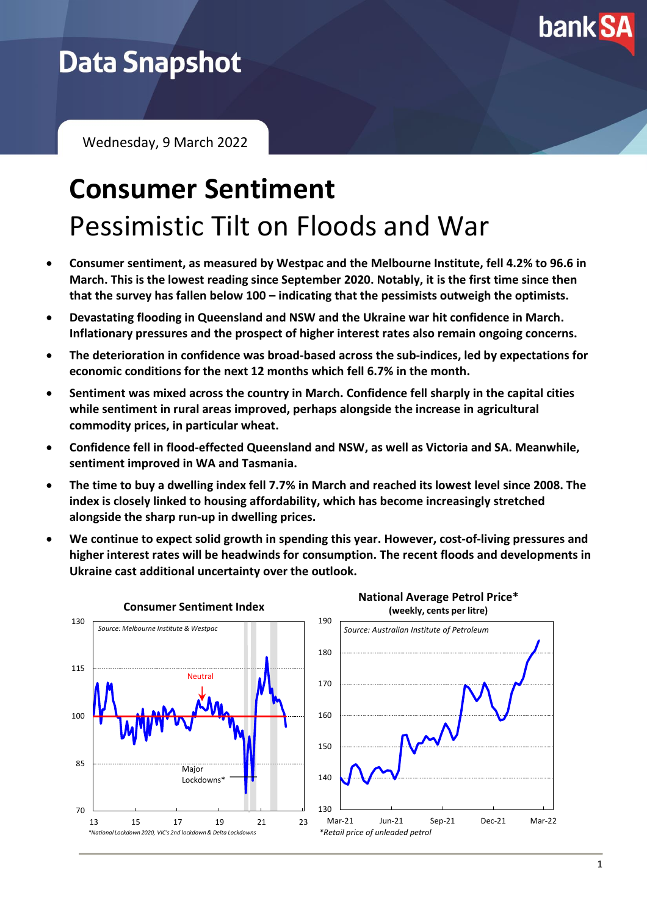

# **Data Snapshot**

Wednesday, 9 March 2022

# **Consumer Sentiment** Pessimistic Tilt on Floods and War

- **Consumer sentiment, as measured by Westpac and the Melbourne Institute, fell 4.2% to 96.6 in March. This is the lowest reading since September 2020. Notably, it is the first time since then that the survey has fallen below 100 – indicating that the pessimists outweigh the optimists.**
- **Devastating flooding in Queensland and NSW and the Ukraine war hit confidence in March. Inflationary pressures and the prospect of higher interest rates also remain ongoing concerns.**
- **The deterioration in confidence was broad-based across the sub-indices, led by expectations for economic conditions for the next 12 months which fell 6.7% in the month.**
- **Sentiment was mixed across the country in March. Confidence fell sharply in the capital cities while sentiment in rural areas improved, perhaps alongside the increase in agricultural commodity prices, in particular wheat.**
- **Confidence fell in flood-effected Queensland and NSW, as well as Victoria and SA. Meanwhile, sentiment improved in WA and Tasmania.**
- **The time to buy a dwelling index fell 7.7% in March and reached its lowest level since 2008. The index is closely linked to housing affordability, which has become increasingly stretched alongside the sharp run-up in dwelling prices.**
- **We continue to expect solid growth in spending this year. However, cost-of-living pressures and higher interest rates will be headwinds for consumption. The recent floods and developments in Ukraine cast additional uncertainty over the outlook.**



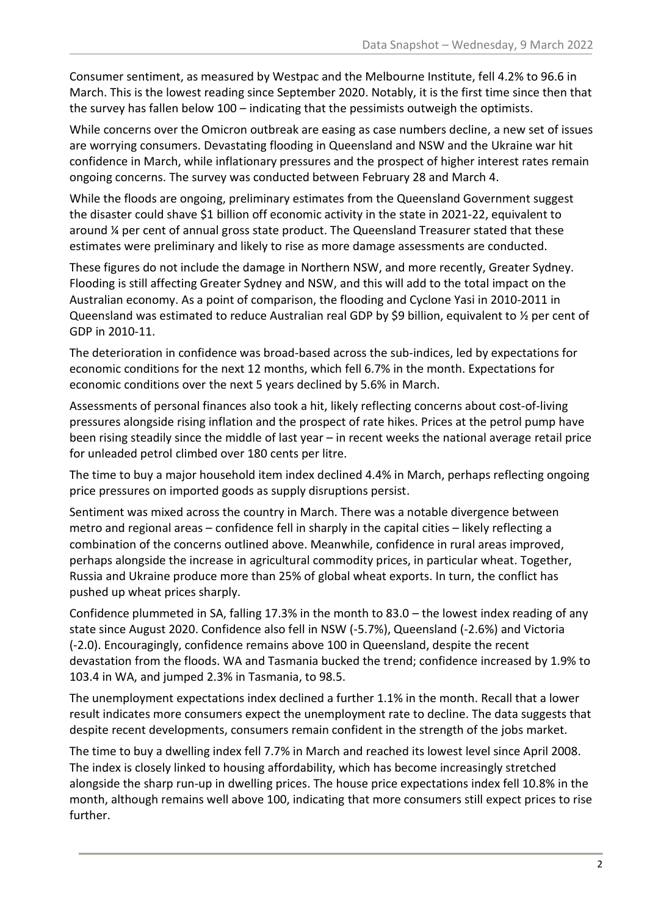Consumer sentiment, as measured by Westpac and the Melbourne Institute, fell 4.2% to 96.6 in March. This is the lowest reading since September 2020. Notably, it is the first time since then that the survey has fallen below 100 – indicating that the pessimists outweigh the optimists.

While concerns over the Omicron outbreak are easing as case numbers decline, a new set of issues are worrying consumers. Devastating flooding in Queensland and NSW and the Ukraine war hit confidence in March, while inflationary pressures and the prospect of higher interest rates remain ongoing concerns. The survey was conducted between February 28 and March 4.

While the floods are ongoing, preliminary estimates from the Queensland Government suggest the disaster could shave \$1 billion off economic activity in the state in 2021-22, equivalent to around ¼ per cent of annual gross state product. The Queensland Treasurer stated that these estimates were preliminary and likely to rise as more damage assessments are conducted.

These figures do not include the damage in Northern NSW, and more recently, Greater Sydney. Flooding is still affecting Greater Sydney and NSW, and this will add to the total impact on the Australian economy. As a point of comparison, the flooding and Cyclone Yasi in 2010-2011 in Queensland was estimated to reduce Australian real GDP by \$9 billion, equivalent to ½ per cent of GDP in 2010-11.

The deterioration in confidence was broad-based across the sub-indices, led by expectations for economic conditions for the next 12 months, which fell 6.7% in the month. Expectations for economic conditions over the next 5 years declined by 5.6% in March.

Assessments of personal finances also took a hit, likely reflecting concerns about cost-of-living pressures alongside rising inflation and the prospect of rate hikes. Prices at the petrol pump have been rising steadily since the middle of last year – in recent weeks the national average retail price for unleaded petrol climbed over 180 cents per litre.

The time to buy a major household item index declined 4.4% in March, perhaps reflecting ongoing price pressures on imported goods as supply disruptions persist.

Sentiment was mixed across the country in March. There was a notable divergence between metro and regional areas – confidence fell in sharply in the capital cities – likely reflecting a combination of the concerns outlined above. Meanwhile, confidence in rural areas improved, perhaps alongside the increase in agricultural commodity prices, in particular wheat. Together, Russia and Ukraine produce more than 25% of global wheat exports. In turn, the conflict has pushed up wheat prices sharply.

Confidence plummeted in SA, falling 17.3% in the month to 83.0 – the lowest index reading of any state since August 2020. Confidence also fell in NSW (-5.7%), Queensland (-2.6%) and Victoria (-2.0). Encouragingly, confidence remains above 100 in Queensland, despite the recent devastation from the floods. WA and Tasmania bucked the trend; confidence increased by 1.9% to 103.4 in WA, and jumped 2.3% in Tasmania, to 98.5.

The unemployment expectations index declined a further 1.1% in the month. Recall that a lower result indicates more consumers expect the unemployment rate to decline. The data suggests that despite recent developments, consumers remain confident in the strength of the jobs market.

The time to buy a dwelling index fell 7.7% in March and reached its lowest level since April 2008. The index is closely linked to housing affordability, which has become increasingly stretched alongside the sharp run-up in dwelling prices. The house price expectations index fell 10.8% in the month, although remains well above 100, indicating that more consumers still expect prices to rise further.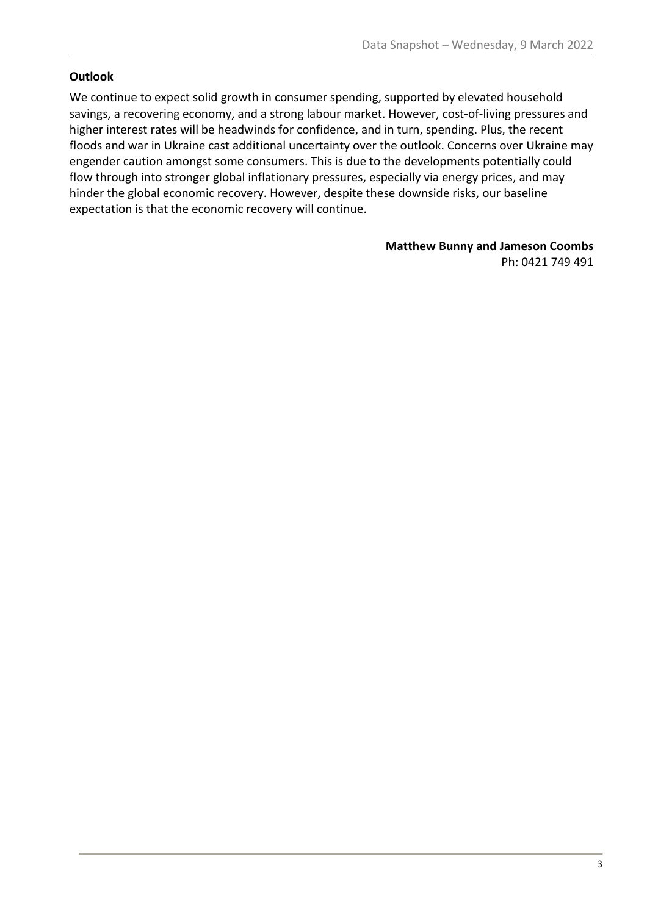## **Outlook**

We continue to expect solid growth in consumer spending, supported by elevated household savings, a recovering economy, and a strong labour market. However, cost-of-living pressures and higher interest rates will be headwinds for confidence, and in turn, spending. Plus, the recent floods and war in Ukraine cast additional uncertainty over the outlook. Concerns over Ukraine may engender caution amongst some consumers. This is due to the developments potentially could flow through into stronger global inflationary pressures, especially via energy prices, and may hinder the global economic recovery. However, despite these downside risks, our baseline expectation is that the economic recovery will continue.

## **Matthew Bunny and Jameson Coombs** Ph: 0421 749 491